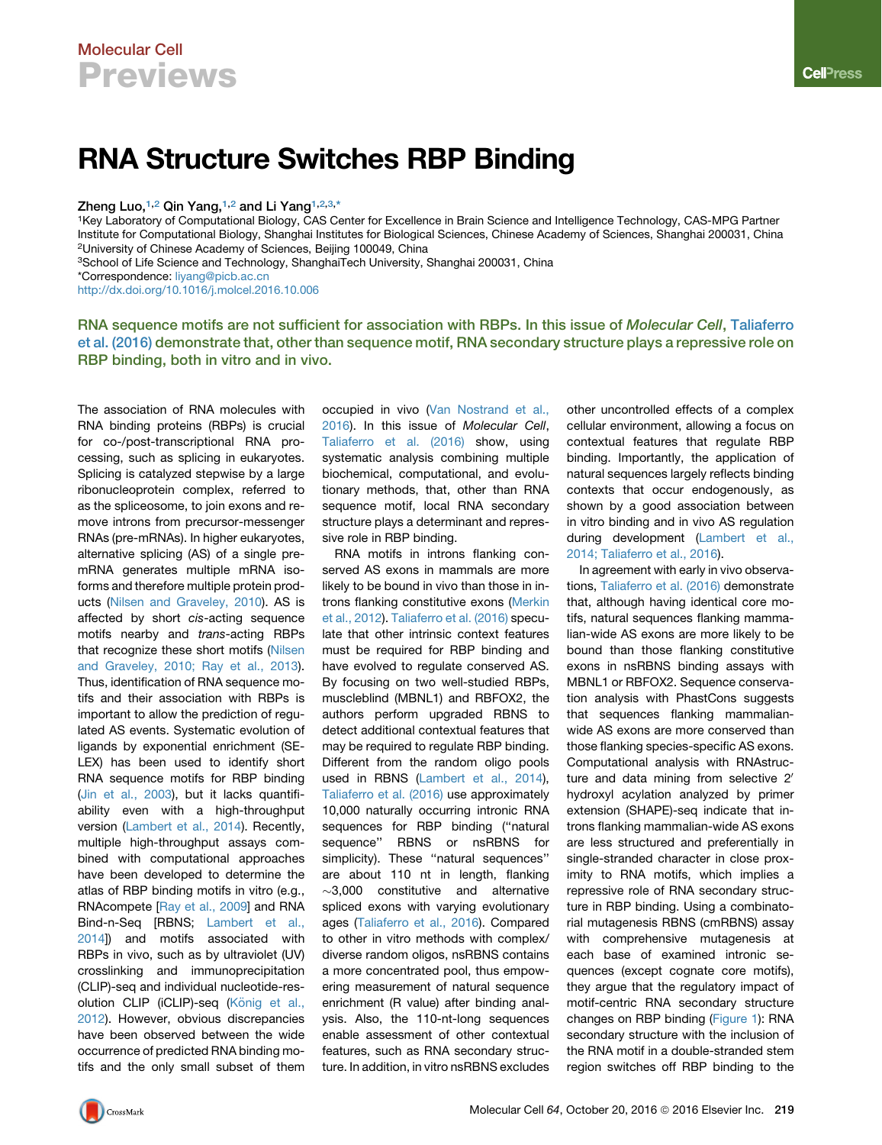## Molecular Cell **Previews**

# RNA Structure Switches RBP Binding

Zheng Luo,<sup>[1,](#page-0-0)[2](#page-0-1)</sup> Qin Yang,<sup>1,2</sup> and Li Yang<sup>1,2[,3,](#page-0-2)[\\*](#page-0-3)</sup>

<span id="page-0-0"></span>1Key Laboratory of Computational Biology, CAS Center for Excellence in Brain Science and Intelligence Technology, CAS-MPG Partner Institute for Computational Biology, Shanghai Institutes for Biological Sciences, Chinese Academy of Sciences, Shanghai 200031, China 2University of Chinese Academy of Sciences, Beijing 100049, China

<span id="page-0-3"></span><span id="page-0-2"></span><span id="page-0-1"></span><sup>3</sup>School of Life Science and Technology, ShanghaiTech University, Shanghai 200031, China \*Correspondence: [liyang@picb.ac.cn](mailto:liyang@picb.ac.cn)

<http://dx.doi.org/10.1016/j.molcel.2016.10.006>

RNA sequence motifs are not sufficient for association with RBPs. In this issue of Molecular Cell, [Taliaferro](#page-1-0) [et al. \(2016\)](#page-1-0) demonstrate that, other than sequence motif, RNA secondary structure plays a repressive role on RBP binding, both in vitro and in vivo.

The association of RNA molecules with RNA binding proteins (RBPs) is crucial for co-/post-transcriptional RNA processing, such as splicing in eukaryotes. Splicing is catalyzed stepwise by a large ribonucleoprotein complex, referred to as the spliceosome, to join exons and remove introns from precursor-messenger RNAs (pre-mRNAs). In higher eukaryotes, alternative splicing (AS) of a single premRNA generates multiple mRNA isoforms and therefore multiple protein products [\(Nilsen and Graveley, 2010](#page-1-1)). AS is affected by short *cis*-acting sequence motifs nearby and *trans*-acting RBPs that recognize these short motifs [\(Nilsen](#page-1-1) [and Graveley, 2010; Ray et al., 2013\)](#page-1-1). Thus, identification of RNA sequence motifs and their association with RBPs is important to allow the prediction of regulated AS events. Systematic evolution of ligands by exponential enrichment (SE-LEX) has been used to identify short RNA sequence motifs for RBP binding [\(Jin et al., 2003](#page-1-2)), but it lacks quantifiability even with a high-throughput version ([Lambert et al., 2014](#page-1-3)). Recently, multiple high-throughput assays combined with computational approaches have been developed to determine the atlas of RBP binding motifs in vitro (e.g., RNAcompete [\[Ray et al., 2009](#page-1-4)] and RNA Bind-n-Seq [RBNS; [Lambert et al.,](#page-1-3) [2014\]](#page-1-3)) and motifs associated with RBPs in vivo, such as by ultraviolet (UV) crosslinking and immunoprecipitation (CLIP)-seq and individual nucleotide-resolution CLIP (iCLIP)-seq (Kö[nig et al.,](#page-1-5) [2012\)](#page-1-5). However, obvious discrepancies have been observed between the wide occurrence of predicted RNA binding motifs and the only small subset of them

occupied in vivo ([Van Nostrand et al.,](#page-1-6) [2016](#page-1-6)). In this issue of *Molecular Cell*, [Taliaferro et al. \(2016\)](#page-1-0) show, using systematic analysis combining multiple biochemical, computational, and evolutionary methods, that, other than RNA sequence motif, local RNA secondary structure plays a determinant and repressive role in RBP binding.

RNA motifs in introns flanking conserved AS exons in mammals are more likely to be bound in vivo than those in introns flanking constitutive exons [\(Merkin](#page-1-7) [et al., 2012](#page-1-7)). [Taliaferro et al. \(2016\)](#page-1-0) speculate that other intrinsic context features must be required for RBP binding and have evolved to regulate conserved AS. By focusing on two well-studied RBPs, muscleblind (MBNL1) and RBFOX2, the authors perform upgraded RBNS to detect additional contextual features that may be required to regulate RBP binding. Different from the random oligo pools used in RBNS ([Lambert et al., 2014](#page-1-3)), [Taliaferro et al. \(2016\)](#page-1-0) use approximately 10,000 naturally occurring intronic RNA sequences for RBP binding ("natural sequence'' RBNS or nsRBNS for simplicity). These "natural sequences" are about 110 nt in length, flanking  $\sim$ 3,000 constitutive and alternative spliced exons with varying evolutionary ages [\(Taliaferro et al., 2016\)](#page-1-0). Compared to other in vitro methods with complex/ diverse random oligos, nsRBNS contains a more concentrated pool, thus empowering measurement of natural sequence enrichment (R value) after binding analysis. Also, the 110-nt-long sequences enable assessment of other contextual features, such as RNA secondary structure. In addition, in vitro nsRBNS excludes

other uncontrolled effects of a complex cellular environment, allowing a focus on contextual features that regulate RBP binding. Importantly, the application of natural sequences largely reflects binding contexts that occur endogenously, as shown by a good association between in vitro binding and in vivo AS regulation during development [\(Lambert et al.,](#page-1-3) [2014; Taliaferro et al., 2016\)](#page-1-3).

In agreement with early in vivo observations, [Taliaferro et al. \(2016\)](#page-1-0) demonstrate that, although having identical core motifs, natural sequences flanking mammalian-wide AS exons are more likely to be bound than those flanking constitutive exons in nsRBNS binding assays with MBNL1 or RBFOX2. Sequence conservation analysis with PhastCons suggests that sequences flanking mammalianwide AS exons are more conserved than those flanking species-specific AS exons. Computational analysis with RNAstructure and data mining from selective  $2^{\prime}$ hydroxyl acylation analyzed by primer extension (SHAPE)-seq indicate that introns flanking mammalian-wide AS exons are less structured and preferentially in single-stranded character in close proximity to RNA motifs, which implies a repressive role of RNA secondary structure in RBP binding. Using a combinatorial mutagenesis RBNS (cmRBNS) assay with comprehensive mutagenesis at each base of examined intronic sequences (except cognate core motifs), they argue that the regulatory impact of motif-centric RNA secondary structure changes on RBP binding ([Figure 1\)](#page-1-8): RNA secondary structure with the inclusion of the RNA motif in a double-stranded stem region switches off RBP binding to the